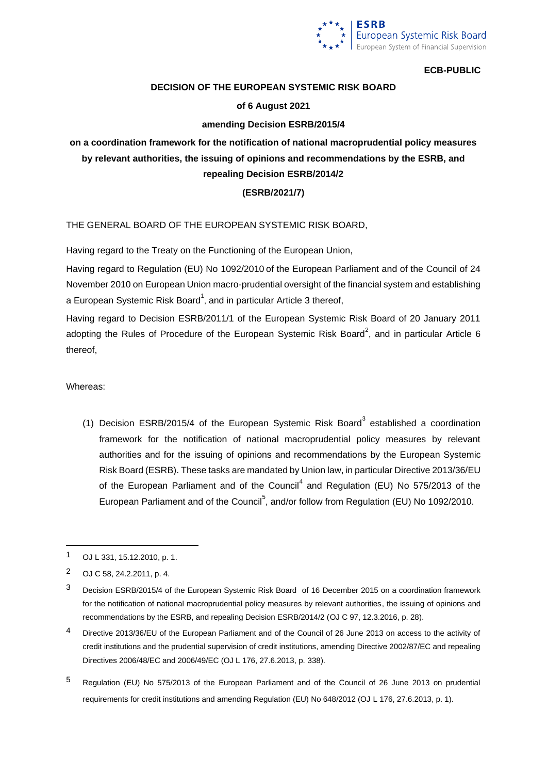

# **DECISION OF THE EUROPEAN SYSTEMIC RISK BOARD**

## **of 6 August 2021**

## **amending Decision ESRB/2015/4**

# **on a coordination framework for the notification of national macroprudential policy measures by relevant authorities, the issuing of opinions and recommendations by the ESRB, and repealing Decision ESRB/2014/2**

### **(ESRB/2021/7)**

THE GENERAL BOARD OF THE EUROPEAN SYSTEMIC RISK BOARD,

Having regard to the Treaty on the Functioning of the European Union,

Having regard to Regulation (EU) No 1092/2010 of the European Parliament and of the Council of 24 November 2010 on European Union macro-prudential oversight of the financial system and establishing a European Systemic Risk Board<sup>1</sup>, and in particular Article 3 thereof,

Having regard to Decision ESRB/2011/1 of the European Systemic Risk Board of 20 January 2011 adopting the Rules of Procedure of the European Systemic Risk Board<sup>2</sup>, and in particular Article 6 thereof,

Whereas:

(1) Decision ESRB/2015/4 of the European Systemic Risk Board $3$  established a coordination framework for the notification of national macroprudential policy measures by relevant authorities and for the issuing of opinions and recommendations by the European Systemic Risk Board (ESRB). These tasks are mandated by Union law, in particular Directive 2013/36/EU of the European Parliament and of the Council<sup>4</sup> and Regulation (EU) No 575/2013 of the European Parliament and of the Council<sup>5</sup>, and/or follow from Regulation (EU) No 1092/2010.

5 Regulation (EU) No 575/2013 of the European Parliament and of the Council of 26 June 2013 on prudential requirements for credit institutions and amending Regulation (EU) No 648/2012 (OJ L 176, 27.6.2013, p. 1).

<sup>1</sup> OJ L 331, 15.12.2010, p. 1.

<sup>2</sup> OJ C 58, 24.2.2011, p. 4.

<sup>&</sup>lt;sup>3</sup> Decision ESRB/2015/4 of the European Systemic Risk Board of 16 December 2015 on a coordination framework for the notification of national macroprudential policy measures by relevant authorities, the issuing of opinions and recommendations by the ESRB, and repealing Decision ESRB/2014/2 (OJ C 97, 12.3.2016, p. 28).

<sup>4</sup> Directive 2013/36/EU of the European Parliament and of the Council of 26 June 2013 on access to the activity of credit institutions and the prudential supervision of credit institutions, amending Directive 2002/87/EC and repealing Directives 2006/48/EC and 2006/49/EC (OJ L 176, 27.6.2013, p. 338).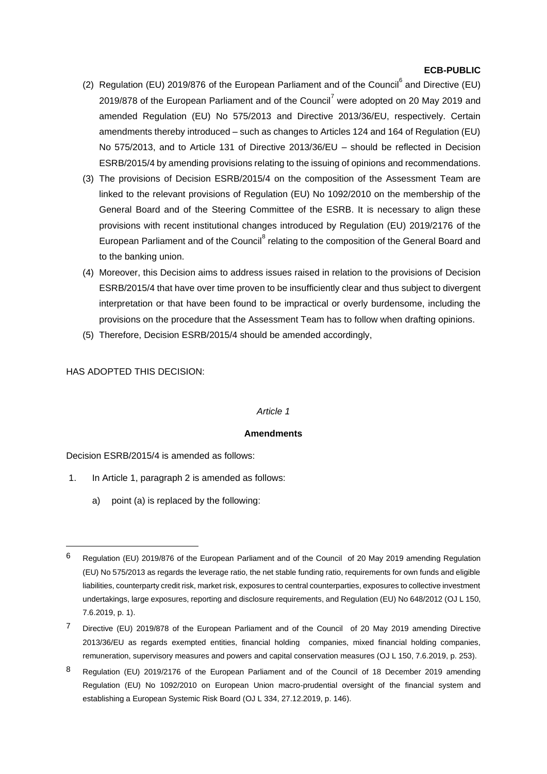- (2) Regulation (EU) 2019/876 of the European Parliament and of the Council<sup>6</sup> and Directive (EU) 2019/878 of the European Parliament and of the Council<sup>7</sup> were adopted on 20 May 2019 and amended Regulation (EU) No 575/2013 and Directive 2013/36/EU, respectively. Certain amendments thereby introduced – such as changes to Articles 124 and 164 of Regulation (EU) No 575/2013, and to Article 131 of Directive 2013/36/EU – should be reflected in Decision ESRB/2015/4 by amending provisions relating to the issuing of opinions and recommendations.
- (3) The provisions of Decision ESRB/2015/4 on the composition of the Assessment Team are linked to the relevant provisions of Regulation (EU) No 1092/2010 on the membership of the General Board and of the Steering Committee of the ESRB. It is necessary to align these provisions with recent institutional changes introduced by Regulation (EU) 2019/2176 of the European Parliament and of the Council<sup>8</sup> relating to the composition of the General Board and to the banking union.
- (4) Moreover, this Decision aims to address issues raised in relation to the provisions of Decision ESRB/2015/4 that have over time proven to be insufficiently clear and thus subject to divergent interpretation or that have been found to be impractical or overly burdensome, including the provisions on the procedure that the Assessment Team has to follow when drafting opinions.
- (5) Therefore, Decision ESRB/2015/4 should be amended accordingly,

# HAS ADOPTED THIS DECISION:

# *Article 1*

#### **Amendments**

Decision ESRB/2015/4 is amended as follows:

- 1. In Article 1, paragraph 2 is amended as follows:
	- a) point (a) is replaced by the following:

8 Regulation (EU) 2019/2176 of the European Parliament and of the Council of 18 December 2019 amending Regulation (EU) No 1092/2010 on European Union macro-prudential oversight of the financial system and establishing a European Systemic Risk Board (OJ L 334, 27.12.2019, p. 146).

<sup>6</sup> Regulation (EU) 2019/876 of the European Parliament and of the Council of 20 May 2019 amending Regulation (EU) No 575/2013 as regards the leverage ratio, the net stable funding ratio, requirements for own funds and eligible liabilities, counterparty credit risk, market risk, exposures to central counterparties, exposures to collective investment undertakings, large exposures, reporting and disclosure requirements, and Regulation (EU) No 648/2012 (OJ L 150, 7.6.2019, p. 1).

<sup>7</sup> Directive (EU) 2019/878 of the European Parliament and of the Council of 20 May 2019 amending Directive 2013/36/EU as regards exempted entities, financial holding companies, mixed financial holding companies, remuneration, supervisory measures and powers and capital conservation measures (OJ L 150, 7.6.2019, p. 253).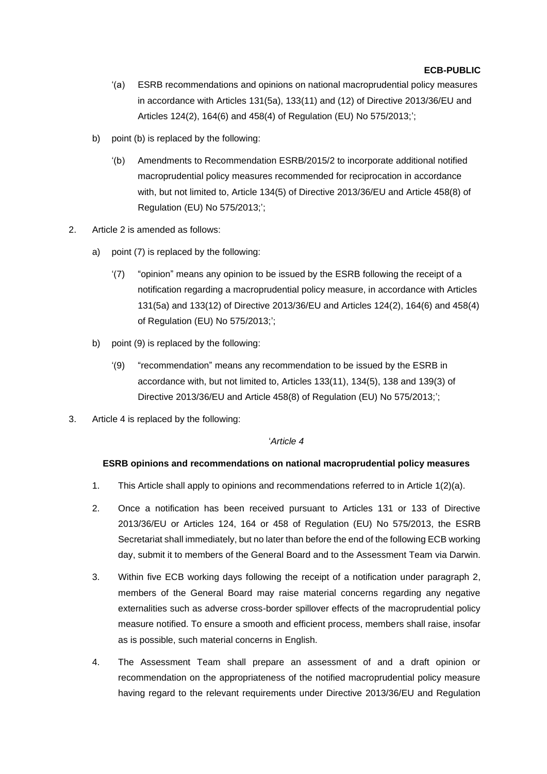- '(a) ESRB recommendations and opinions on national macroprudential policy measures in accordance with Articles 131(5a), 133(11) and (12) of Directive 2013/36/EU and Articles 124(2), 164(6) and 458(4) of Regulation (EU) No 575/2013;';
- b) point (b) is replaced by the following:
	- '(b) Amendments to Recommendation ESRB/2015/2 to incorporate additional notified macroprudential policy measures recommended for reciprocation in accordance with, but not limited to, Article 134(5) of Directive 2013/36/EU and Article 458(8) of Regulation (EU) No 575/2013;';
- 2. Article 2 is amended as follows:
	- a) point (7) is replaced by the following:
		- '(7) "opinion" means any opinion to be issued by the ESRB following the receipt of a notification regarding a macroprudential policy measure, in accordance with Articles 131(5a) and 133(12) of Directive 2013/36/EU and Articles 124(2), 164(6) and 458(4) of Regulation (EU) No 575/2013;';
	- b) point (9) is replaced by the following:
		- '(9) "recommendation" means any recommendation to be issued by the ESRB in accordance with, but not limited to, Articles 133(11), 134(5), 138 and 139(3) of Directive 2013/36/EU and Article 458(8) of Regulation (EU) No 575/2013;';
- 3. Article 4 is replaced by the following:

#### '*Article 4*

#### **ESRB opinions and recommendations on national macroprudential policy measures**

- 1. This Article shall apply to opinions and recommendations referred to in Article 1(2)(a).
- 2. Once a notification has been received pursuant to Articles 131 or 133 of Directive 2013/36/EU or Articles 124, 164 or 458 of Regulation (EU) No 575/2013, the ESRB Secretariat shall immediately, but no later than before the end of the following ECB working day, submit it to members of the General Board and to the Assessment Team via Darwin.
- 3. Within five ECB working days following the receipt of a notification under paragraph 2, members of the General Board may raise material concerns regarding any negative externalities such as adverse cross-border spillover effects of the macroprudential policy measure notified. To ensure a smooth and efficient process, members shall raise, insofar as is possible, such material concerns in English.
- 4. The Assessment Team shall prepare an assessment of and a draft opinion or recommendation on the appropriateness of the notified macroprudential policy measure having regard to the relevant requirements under Directive 2013/36/EU and Regulation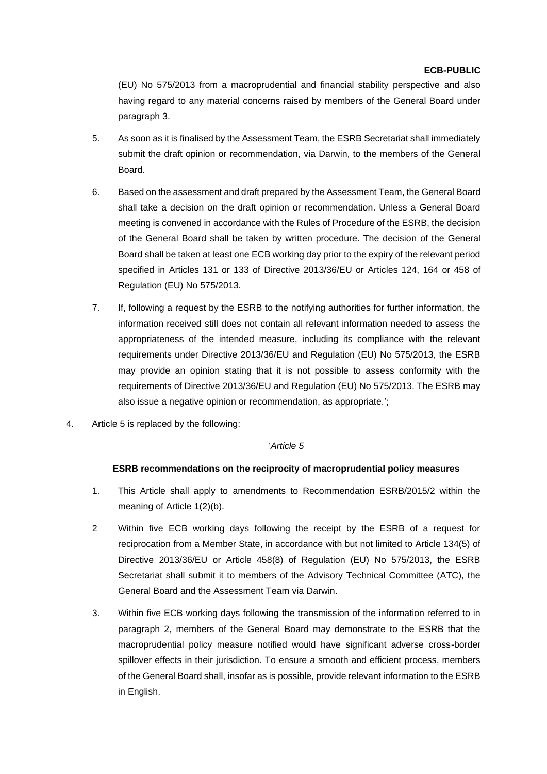(EU) No 575/2013 from a macroprudential and financial stability perspective and also having regard to any material concerns raised by members of the General Board under paragraph 3.

- 5. As soon as it is finalised by the Assessment Team, the ESRB Secretariat shall immediately submit the draft opinion or recommendation, via Darwin, to the members of the General Board.
- 6. Based on the assessment and draft prepared by the Assessment Team, the General Board shall take a decision on the draft opinion or recommendation. Unless a General Board meeting is convened in accordance with the Rules of Procedure of the ESRB, the decision of the General Board shall be taken by written procedure. The decision of the General Board shall be taken at least one ECB working day prior to the expiry of the relevant period specified in Articles 131 or 133 of Directive 2013/36/EU or Articles 124, 164 or 458 of Regulation (EU) No 575/2013.
- 7. If, following a request by the ESRB to the notifying authorities for further information, the information received still does not contain all relevant information needed to assess the appropriateness of the intended measure, including its compliance with the relevant requirements under Directive 2013/36/EU and Regulation (EU) No 575/2013, the ESRB may provide an opinion stating that it is not possible to assess conformity with the requirements of Directive 2013/36/EU and Regulation (EU) No 575/2013. The ESRB may also issue a negative opinion or recommendation, as appropriate.';
- 4. Article 5 is replaced by the following:

#### '*Article 5*

## **ESRB recommendations on the reciprocity of macroprudential policy measures**

- 1. This Article shall apply to amendments to Recommendation ESRB/2015/2 within the meaning of Article 1(2)(b).
- 2 Within five ECB working days following the receipt by the ESRB of a request for reciprocation from a Member State, in accordance with but not limited to Article 134(5) of Directive 2013/36/EU or Article 458(8) of Regulation (EU) No 575/2013, the ESRB Secretariat shall submit it to members of the Advisory Technical Committee (ATC), the General Board and the Assessment Team via Darwin.
- 3. Within five ECB working days following the transmission of the information referred to in paragraph 2, members of the General Board may demonstrate to the ESRB that the macroprudential policy measure notified would have significant adverse cross-border spillover effects in their jurisdiction. To ensure a smooth and efficient process, members of the General Board shall, insofar as is possible, provide relevant information to the ESRB in English.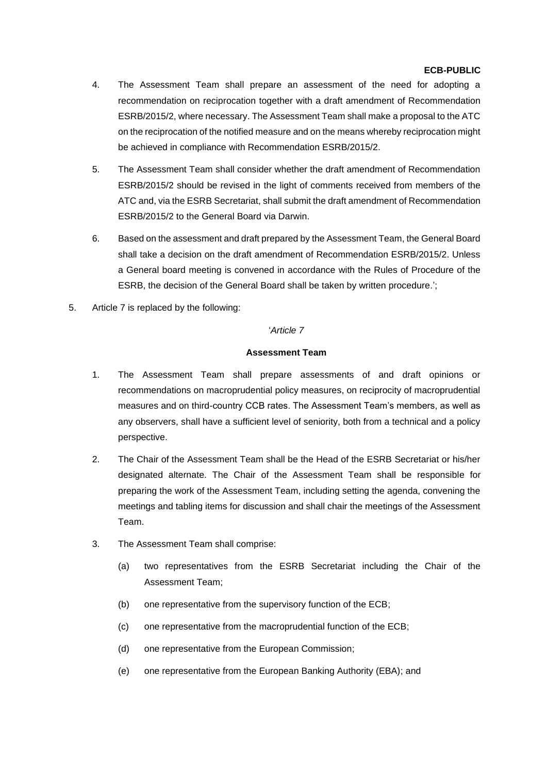- 4. The Assessment Team shall prepare an assessment of the need for adopting a recommendation on reciprocation together with a draft amendment of Recommendation ESRB/2015/2, where necessary. The Assessment Team shall make a proposal to the ATC on the reciprocation of the notified measure and on the means whereby reciprocation might be achieved in compliance with Recommendation ESRB/2015/2.
- 5. The Assessment Team shall consider whether the draft amendment of Recommendation ESRB/2015/2 should be revised in the light of comments received from members of the ATC and, via the ESRB Secretariat, shall submit the draft amendment of Recommendation ESRB/2015/2 to the General Board via Darwin.
- 6. Based on the assessment and draft prepared by the Assessment Team, the General Board shall take a decision on the draft amendment of Recommendation ESRB/2015/2. Unless a General board meeting is convened in accordance with the Rules of Procedure of the ESRB, the decision of the General Board shall be taken by written procedure.';
- 5. Article 7 is replaced by the following:

#### '*Article 7*

#### **Assessment Team**

- 1. The Assessment Team shall prepare assessments of and draft opinions or recommendations on macroprudential policy measures, on reciprocity of macroprudential measures and on third-country CCB rates. The Assessment Team's members, as well as any observers, shall have a sufficient level of seniority, both from a technical and a policy perspective.
- 2. The Chair of the Assessment Team shall be the Head of the ESRB Secretariat or his/her designated alternate. The Chair of the Assessment Team shall be responsible for preparing the work of the Assessment Team, including setting the agenda, convening the meetings and tabling items for discussion and shall chair the meetings of the Assessment Team.
- 3. The Assessment Team shall comprise:
	- (a) two representatives from the ESRB Secretariat including the Chair of the Assessment Team;
	- (b) one representative from the supervisory function of the ECB;
	- (c) one representative from the macroprudential function of the ECB;
	- (d) one representative from the European Commission;
	- (e) one representative from the European Banking Authority (EBA); and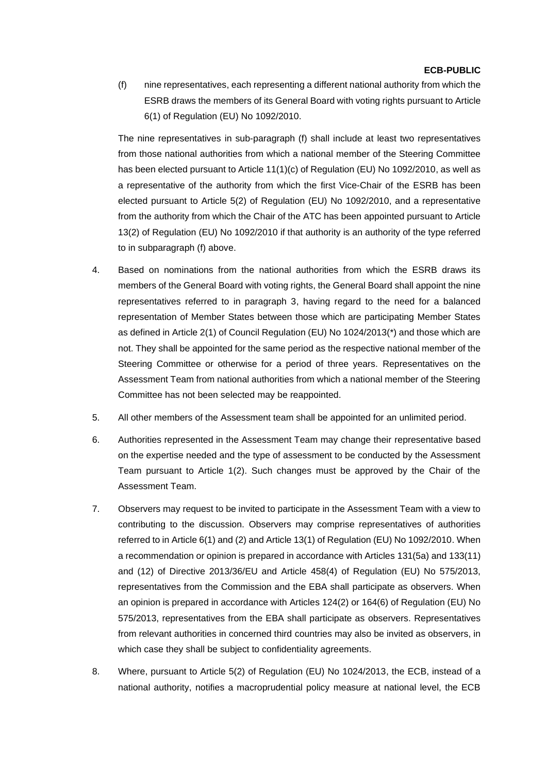(f) nine representatives, each representing a different national authority from which the ESRB draws the members of its General Board with voting rights pursuant to Article 6(1) of Regulation (EU) No 1092/2010.

The nine representatives in sub-paragraph (f) shall include at least two representatives from those national authorities from which a national member of the Steering Committee has been elected pursuant to Article 11(1)(c) of Regulation (EU) No 1092/2010, as well as a representative of the authority from which the first Vice-Chair of the ESRB has been elected pursuant to Article 5(2) of Regulation (EU) No 1092/2010, and a representative from the authority from which the Chair of the ATC has been appointed pursuant to Article 13(2) of Regulation (EU) No 1092/2010 if that authority is an authority of the type referred to in subparagraph (f) above.

- 4. Based on nominations from the national authorities from which the ESRB draws its members of the General Board with voting rights, the General Board shall appoint the nine representatives referred to in paragraph 3, having regard to the need for a balanced representation of Member States between those which are participating Member States as defined in Article 2(1) of Council Regulation (EU) No 1024/2013(\*) and those which are not. They shall be appointed for the same period as the respective national member of the Steering Committee or otherwise for a period of three years. Representatives on the Assessment Team from national authorities from which a national member of the Steering Committee has not been selected may be reappointed.
- 5. All other members of the Assessment team shall be appointed for an unlimited period.
- 6. Authorities represented in the Assessment Team may change their representative based on the expertise needed and the type of assessment to be conducted by the Assessment Team pursuant to Article 1(2). Such changes must be approved by the Chair of the Assessment Team.
- 7. Observers may request to be invited to participate in the Assessment Team with a view to contributing to the discussion. Observers may comprise representatives of authorities referred to in Article 6(1) and (2) and Article 13(1) of Regulation (EU) No 1092/2010. When a recommendation or opinion is prepared in accordance with Articles 131(5a) and 133(11) and (12) of Directive 2013/36/EU and Article 458(4) of Regulation (EU) No 575/2013, representatives from the Commission and the EBA shall participate as observers. When an opinion is prepared in accordance with Articles 124(2) or 164(6) of Regulation (EU) No 575/2013, representatives from the EBA shall participate as observers. Representatives from relevant authorities in concerned third countries may also be invited as observers, in which case they shall be subject to confidentiality agreements.
- 8. Where, pursuant to Article 5(2) of Regulation (EU) No 1024/2013, the ECB, instead of a national authority, notifies a macroprudential policy measure at national level, the ECB